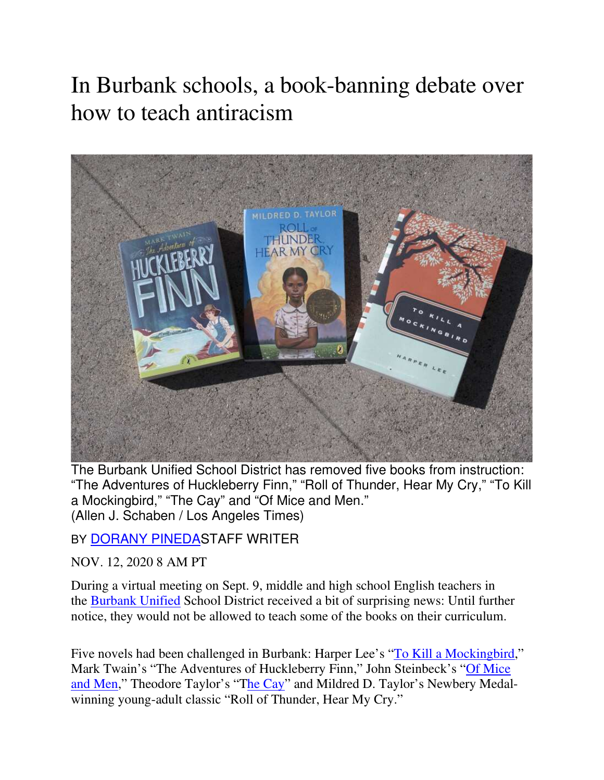# In Burbank schools, a book-banning debate over how to teach antiracism



The Burbank Unified School District has removed five books from instruction: "The Adventures of Huckleberry Finn," "Roll of Thunder, Hear My Cry," "To Kill a Mockingbird," "The Cay" and "Of Mice and Men." (Allen J. Schaben / Los Angeles Times)

BY DORANY PINEDASTAFF WRITER

NOV. 12, 2020 8 AM PT

During a virtual meeting on Sept. 9, middle and high school English teachers in the Burbank Unified School District received a bit of surprising news: Until further notice, they would not be allowed to teach some of the books on their curriculum.

Five novels had been challenged in Burbank: Harper Lee's "To Kill a Mockingbird," Mark Twain's "The Adventures of Huckleberry Finn," John Steinbeck's "Of Mice and Men," Theodore Taylor's "The Cay" and Mildred D. Taylor's Newbery Medalwinning young-adult classic "Roll of Thunder, Hear My Cry."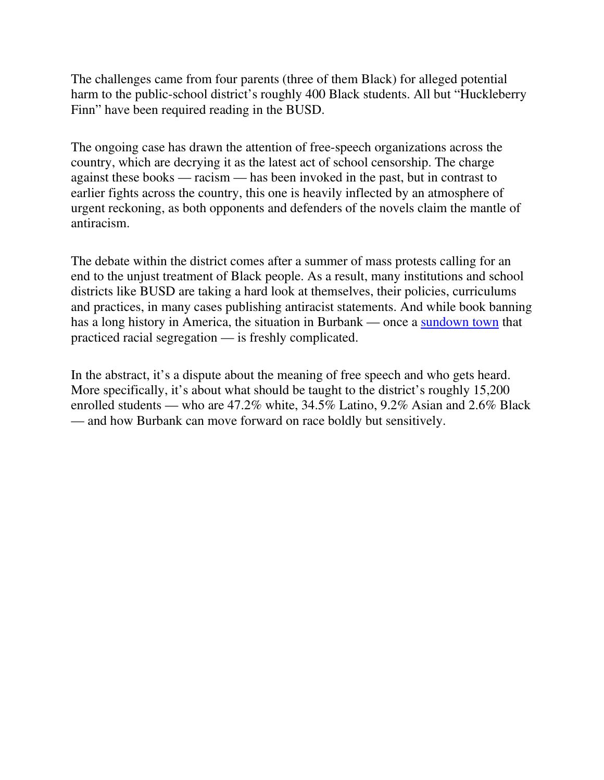The challenges came from four parents (three of them Black) for alleged potential harm to the public-school district's roughly 400 Black students. All but "Huckleberry Finn" have been required reading in the BUSD.

The ongoing case has drawn the attention of free-speech organizations across the country, which are decrying it as the latest act of school censorship. The charge against these books — racism — has been invoked in the past, but in contrast to earlier fights across the country, this one is heavily inflected by an atmosphere of urgent reckoning, as both opponents and defenders of the novels claim the mantle of antiracism.

The debate within the district comes after a summer of mass protests calling for an end to the unjust treatment of Black people. As a result, many institutions and school districts like BUSD are taking a hard look at themselves, their policies, curriculums and practices, in many cases publishing antiracist statements. And while book banning has a long history in America, the situation in Burbank — once a sundown town that practiced racial segregation — is freshly complicated.

In the abstract, it's a dispute about the meaning of free speech and who gets heard. More specifically, it's about what should be taught to the district's roughly 15,200 enrolled students — who are 47.2% white, 34.5% Latino, 9.2% Asian and 2.6% Black — and how Burbank can move forward on race boldly but sensitively.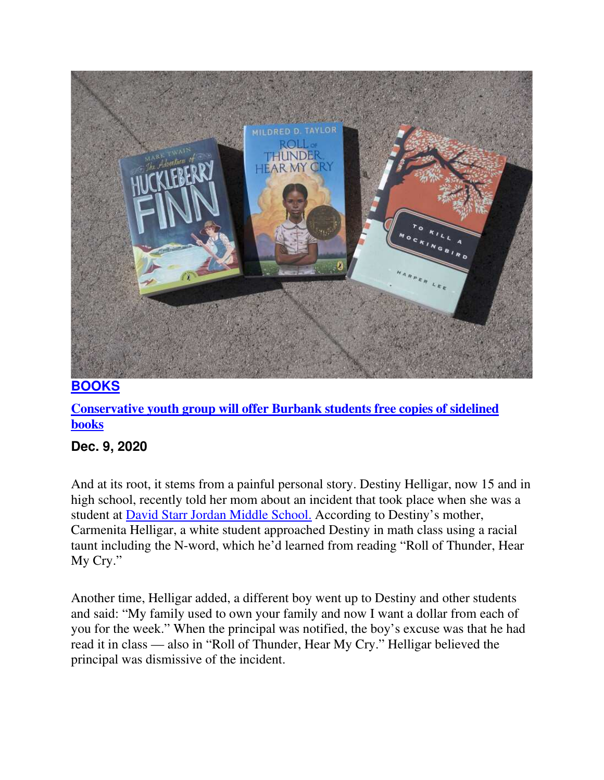

#### **Conservative youth group will offer Burbank students free copies of sidelined books**

### **Dec. 9, 2020**

And at its root, it stems from a painful personal story. Destiny Helligar, now 15 and in high school, recently told her mom about an incident that took place when she was a student at David Starr Jordan Middle School. According to Destiny's mother, Carmenita Helligar, a white student approached Destiny in math class using a racial taunt including the N-word, which he'd learned from reading "Roll of Thunder, Hear My Cry."

Another time, Helligar added, a different boy went up to Destiny and other students and said: "My family used to own your family and now I want a dollar from each of you for the week." When the principal was notified, the boy's excuse was that he had read it in class — also in "Roll of Thunder, Hear My Cry." Helligar believed the principal was dismissive of the incident.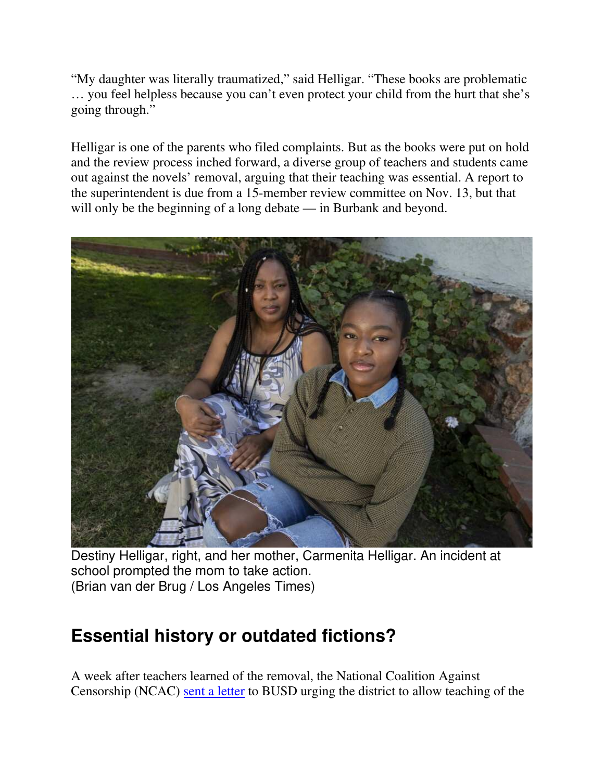"My daughter was literally traumatized," said Helligar. "These books are problematic … you feel helpless because you can't even protect your child from the hurt that she's going through."

Helligar is one of the parents who filed complaints. But as the books were put on hold and the review process inched forward, a diverse group of teachers and students came out against the novels' removal, arguing that their teaching was essential. A report to the superintendent is due from a 15-member review committee on Nov. 13, but that will only be the beginning of a long debate — in Burbank and beyond.



Destiny Helligar, right, and her mother, Carmenita Helligar. An incident at school prompted the mom to take action. (Brian van der Brug / Los Angeles Times)

# **Essential history or outdated fictions?**

A week after teachers learned of the removal, the National Coalition Against Censorship (NCAC) sent a letter to BUSD urging the district to allow teaching of the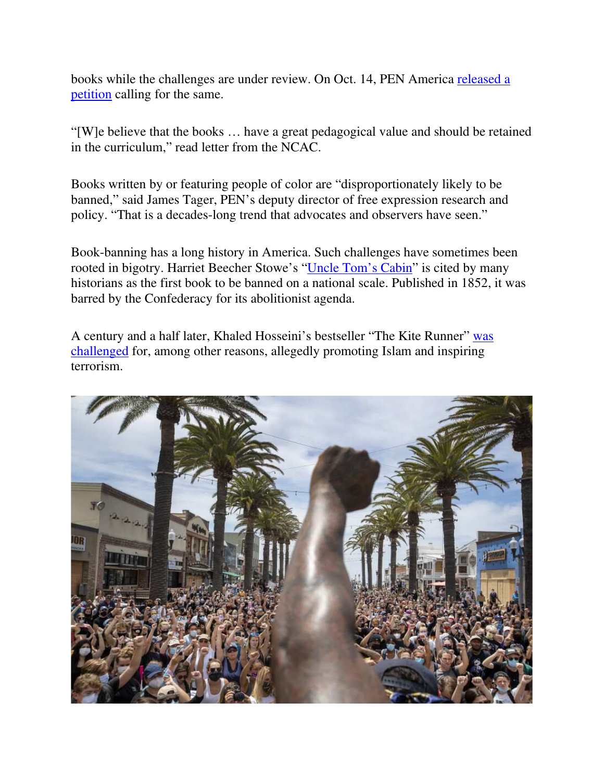books while the challenges are under review. On Oct. 14, PEN America released a petition calling for the same.

"[W]e believe that the books … have a great pedagogical value and should be retained in the curriculum," read letter from the NCAC.

Books written by or featuring people of color are "disproportionately likely to be banned," said James Tager, PEN's deputy director of free expression research and policy. "That is a decades-long trend that advocates and observers have seen."

Book-banning has a long history in America. Such challenges have sometimes been rooted in bigotry. Harriet Beecher Stowe's "Uncle Tom's Cabin" is cited by many historians as the first book to be banned on a national scale. Published in 1852, it was barred by the Confederacy for its abolitionist agenda.

A century and a half later, Khaled Hosseini's bestseller "The Kite Runner" was challenged for, among other reasons, allegedly promoting Islam and inspiring terrorism.

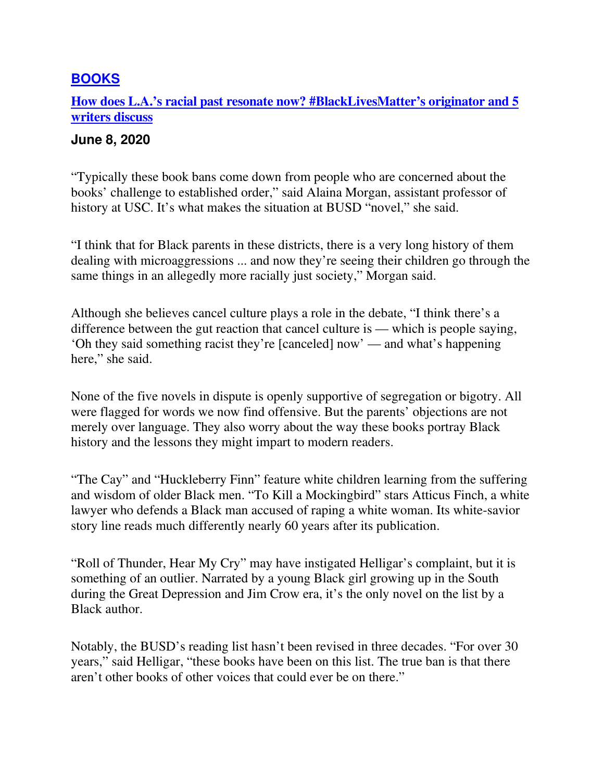**How does L.A.'s racial past resonate now? #BlackLivesMatter's originator and 5 writers discuss**

#### **June 8, 2020**

"Typically these book bans come down from people who are concerned about the books' challenge to established order," said Alaina Morgan, assistant professor of history at USC. It's what makes the situation at BUSD "novel," she said.

"I think that for Black parents in these districts, there is a very long history of them dealing with microaggressions ... and now they're seeing their children go through the same things in an allegedly more racially just society," Morgan said.

Although she believes cancel culture plays a role in the debate, "I think there's a difference between the gut reaction that cancel culture is — which is people saying, 'Oh they said something racist they're [canceled] now' — and what's happening here," she said.

None of the five novels in dispute is openly supportive of segregation or bigotry. All were flagged for words we now find offensive. But the parents' objections are not merely over language. They also worry about the way these books portray Black history and the lessons they might impart to modern readers.

"The Cay" and "Huckleberry Finn" feature white children learning from the suffering and wisdom of older Black men. "To Kill a Mockingbird" stars Atticus Finch, a white lawyer who defends a Black man accused of raping a white woman. Its white-savior story line reads much differently nearly 60 years after its publication.

"Roll of Thunder, Hear My Cry" may have instigated Helligar's complaint, but it is something of an outlier. Narrated by a young Black girl growing up in the South during the Great Depression and Jim Crow era, it's the only novel on the list by a Black author.

Notably, the BUSD's reading list hasn't been revised in three decades. "For over 30 years," said Helligar, "these books have been on this list. The true ban is that there aren't other books of other voices that could ever be on there."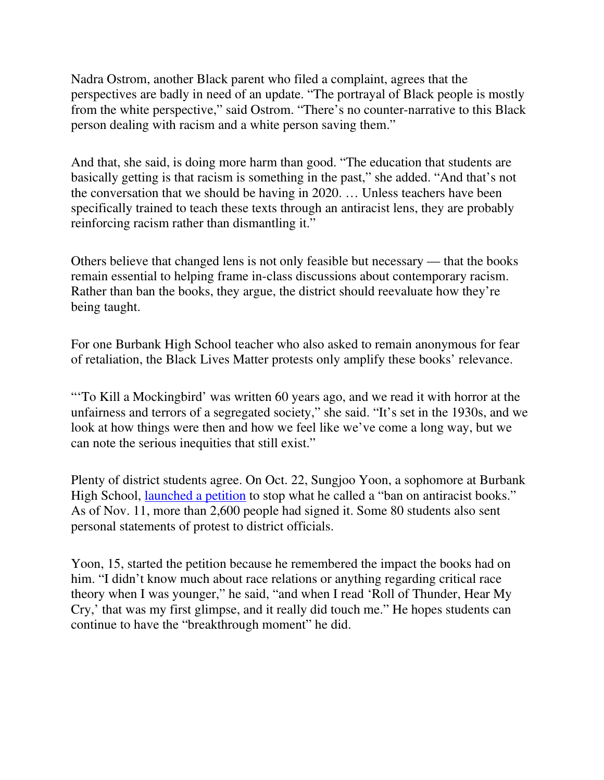Nadra Ostrom, another Black parent who filed a complaint, agrees that the perspectives are badly in need of an update. "The portrayal of Black people is mostly from the white perspective," said Ostrom. "There's no counter-narrative to this Black person dealing with racism and a white person saving them."

And that, she said, is doing more harm than good. "The education that students are basically getting is that racism is something in the past," she added. "And that's not the conversation that we should be having in 2020. … Unless teachers have been specifically trained to teach these texts through an antiracist lens, they are probably reinforcing racism rather than dismantling it."

Others believe that changed lens is not only feasible but necessary — that the books remain essential to helping frame in-class discussions about contemporary racism. Rather than ban the books, they argue, the district should reevaluate how they're being taught.

For one Burbank High School teacher who also asked to remain anonymous for fear of retaliation, the Black Lives Matter protests only amplify these books' relevance.

"'To Kill a Mockingbird' was written 60 years ago, and we read it with horror at the unfairness and terrors of a segregated society," she said. "It's set in the 1930s, and we look at how things were then and how we feel like we've come a long way, but we can note the serious inequities that still exist."

Plenty of district students agree. On Oct. 22, Sungjoo Yoon, a sophomore at Burbank High School, launched a petition to stop what he called a "ban on antiracist books." As of Nov. 11, more than 2,600 people had signed it. Some 80 students also sent personal statements of protest to district officials.

Yoon, 15, started the petition because he remembered the impact the books had on him. "I didn't know much about race relations or anything regarding critical race theory when I was younger," he said, "and when I read 'Roll of Thunder, Hear My Cry,' that was my first glimpse, and it really did touch me." He hopes students can continue to have the "breakthrough moment" he did.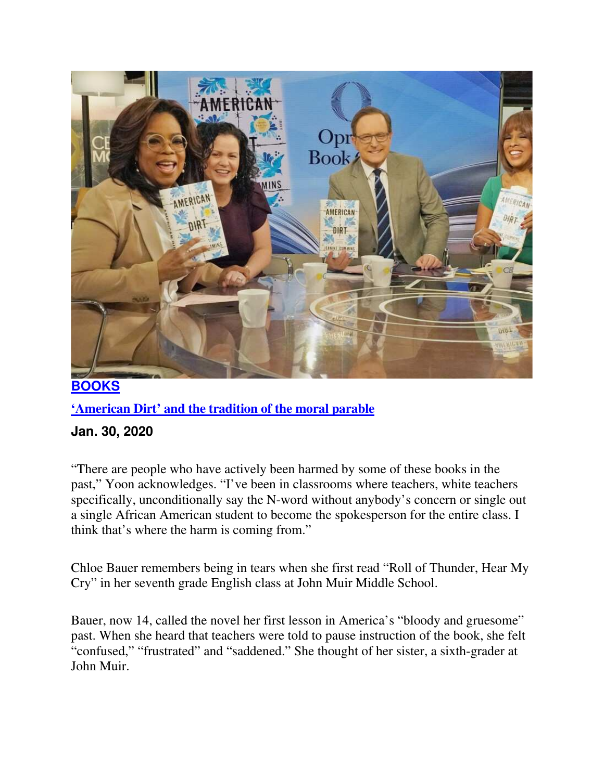

#### **'American Dirt' and the tradition of the moral parable**

#### **Jan. 30, 2020**

"There are people who have actively been harmed by some of these books in the past," Yoon acknowledges. "I've been in classrooms where teachers, white teachers specifically, unconditionally say the N-word without anybody's concern or single out a single African American student to become the spokesperson for the entire class. I think that's where the harm is coming from."

Chloe Bauer remembers being in tears when she first read "Roll of Thunder, Hear My Cry" in her seventh grade English class at John Muir Middle School.

Bauer, now 14, called the novel her first lesson in America's "bloody and gruesome" past. When she heard that teachers were told to pause instruction of the book, she felt "confused," "frustrated" and "saddened." She thought of her sister, a sixth-grader at John Muir.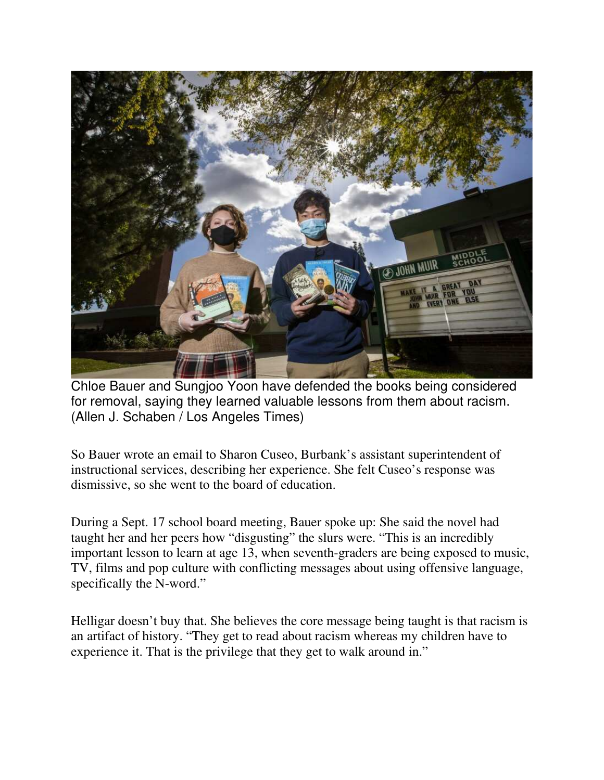

Chloe Bauer and Sungjoo Yoon have defended the books being considered for removal, saying they learned valuable lessons from them about racism. (Allen J. Schaben / Los Angeles Times)

So Bauer wrote an email to Sharon Cuseo, Burbank's assistant superintendent of instructional services, describing her experience. She felt Cuseo's response was dismissive, so she went to the board of education.

During a Sept. 17 school board meeting, Bauer spoke up: She said the novel had taught her and her peers how "disgusting" the slurs were. "This is an incredibly important lesson to learn at age 13, when seventh-graders are being exposed to music, TV, films and pop culture with conflicting messages about using offensive language, specifically the N-word."

Helligar doesn't buy that. She believes the core message being taught is that racism is an artifact of history. "They get to read about racism whereas my children have to experience it. That is the privilege that they get to walk around in."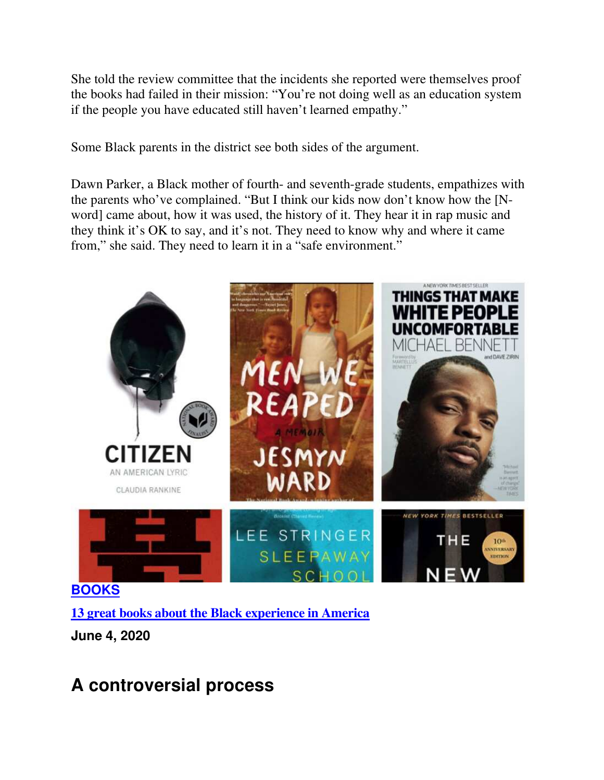She told the review committee that the incidents she reported were themselves proof the books had failed in their mission: "You're not doing well as an education system if the people you have educated still haven't learned empathy."

Some Black parents in the district see both sides of the argument.

Dawn Parker, a Black mother of fourth- and seventh-grade students, empathizes with the parents who've complained. "But I think our kids now don't know how the [Nword] came about, how it was used, the history of it. They hear it in rap music and they think it's OK to say, and it's not. They need to know why and where it came from," she said. They need to learn it in a "safe environment."



**13 great books about the Black experience in America**

**June 4, 2020** 

# **A controversial process**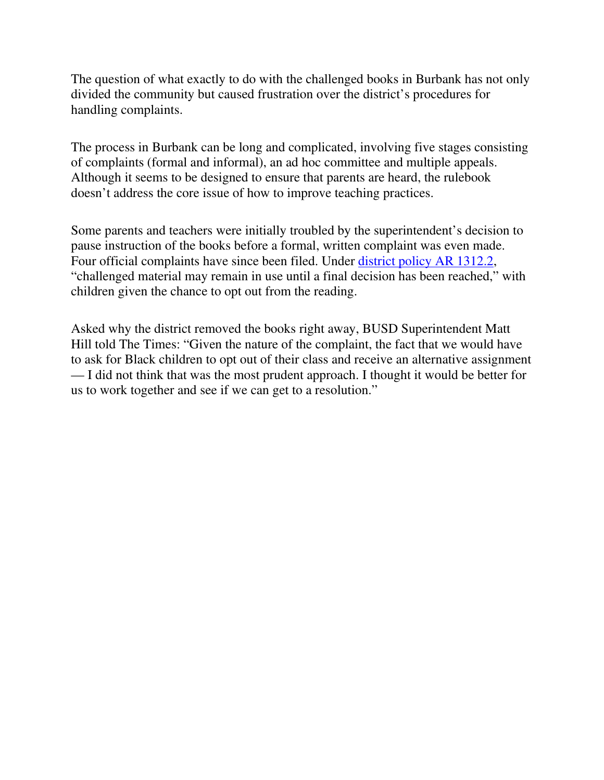The question of what exactly to do with the challenged books in Burbank has not only divided the community but caused frustration over the district's procedures for handling complaints.

The process in Burbank can be long and complicated, involving five stages consisting of complaints (formal and informal), an ad hoc committee and multiple appeals. Although it seems to be designed to ensure that parents are heard, the rulebook doesn't address the core issue of how to improve teaching practices.

Some parents and teachers were initially troubled by the superintendent's decision to pause instruction of the books before a formal, written complaint was even made. Four official complaints have since been filed. Under district policy AR 1312.2, "challenged material may remain in use until a final decision has been reached," with children given the chance to opt out from the reading.

Asked why the district removed the books right away, BUSD Superintendent Matt Hill told The Times: "Given the nature of the complaint, the fact that we would have to ask for Black children to opt out of their class and receive an alternative assignment — I did not think that was the most prudent approach. I thought it would be better for us to work together and see if we can get to a resolution."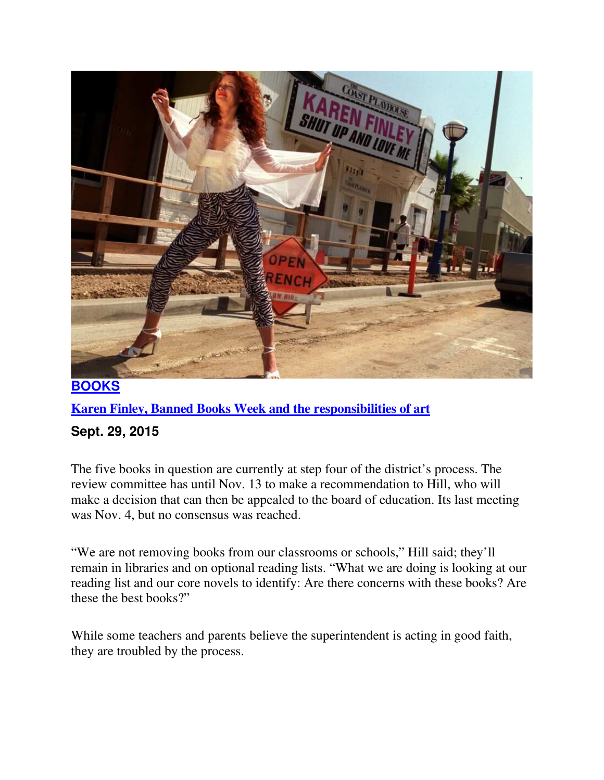

#### **Karen Finley, Banned Books Week and the responsibilities of art**

#### **Sept. 29, 2015**

The five books in question are currently at step four of the district's process. The review committee has until Nov. 13 to make a recommendation to Hill, who will make a decision that can then be appealed to the board of education. Its last meeting was Nov. 4, but no consensus was reached.

"We are not removing books from our classrooms or schools," Hill said; they'll remain in libraries and on optional reading lists. "What we are doing is looking at our reading list and our core novels to identify: Are there concerns with these books? Are these the best books?"

While some teachers and parents believe the superintendent is acting in good faith, they are troubled by the process.